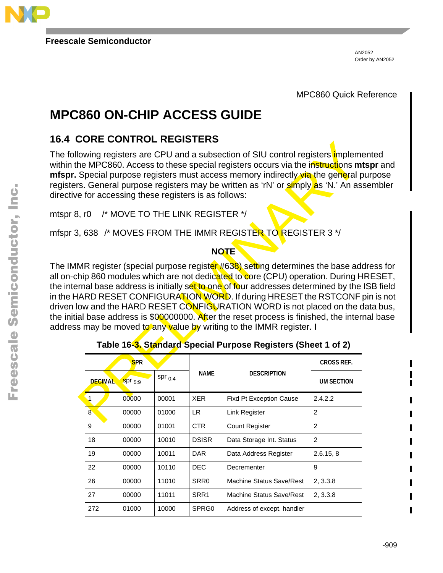

**Freescale Semiconductor**

AN2052 Order by AN2052

MPC860 Quick Reference

# **MPC860 ON-CHIP ACCESS GUIDE**

### **16.4 CORE CONTROL REGISTERS**

The following registers are CPU and a subsection of SIU control registers *i*mplemented within the MPC860. Access to these special registers occurs via the instructions **mtspr** and **mfspr.** Special purpose registers must access memory indirectly via the general purpose registers. General purpose registers may be written as 'rN' or **simply as 'N.'** An assembler directive for accessing these registers is as follows:

mtspr 8, r0 /\* MOVE TO THE LINK REGISTER \*/

mfspr 3, 638 /\* MOVES FROM THE IMMR REGISTER TO REGISTER 3 \*/

#### **NOTE**

The IMMR register (special purpose register #638) setting determines the base address for all on-chip 860 modules which are not dedicated to core (CPU) operation. During HRESET, the internal base address is initially set to one of four addresses determined by the ISB field in the HARD RESET CONFIGURATION WORD. If during HRESET the RSTCONF pin is not driven low and the HARD RESET CONFIGURATION WORD is not placed on the data bus, the initial base address is  $$00000000$ . After the reset process is finished, the internal base address may be moved to any value by writing to the IMMR register. I

|       | UUNE UUININUL NEUIJIENJ                                                                                                                                                                                                                                                                                                                                       |                                                |             |                  |                                                                                                                                                                                                                                                                                                                                |                   |  |
|-------|---------------------------------------------------------------------------------------------------------------------------------------------------------------------------------------------------------------------------------------------------------------------------------------------------------------------------------------------------------------|------------------------------------------------|-------------|------------------|--------------------------------------------------------------------------------------------------------------------------------------------------------------------------------------------------------------------------------------------------------------------------------------------------------------------------------|-------------------|--|
|       |                                                                                                                                                                                                                                                                                                                                                               | e for accessing these registers is as follows: |             |                  | lowing registers are CPU and a subsection of SIU control registers impleme<br>he MPC860. Access to these special registers occurs via the instructions <b>mt</b><br>Special purpose registers must access memory indirectly via the general p<br>rs. General purpose registers may be written as 'rN' or simply as 'N.' An ass |                   |  |
| 3, rO |                                                                                                                                                                                                                                                                                                                                                               | /* MOVE TO THE LINK REGISTER */                |             |                  |                                                                                                                                                                                                                                                                                                                                |                   |  |
|       |                                                                                                                                                                                                                                                                                                                                                               |                                                |             |                  |                                                                                                                                                                                                                                                                                                                                |                   |  |
|       |                                                                                                                                                                                                                                                                                                                                                               |                                                |             | <b>NOTE</b>      |                                                                                                                                                                                                                                                                                                                                |                   |  |
|       | IARD RESET CONFIGURATION WORD. If during HRESET the RSTCONF <b>r</b><br>low and the HARD RESET CONFIGURATION WORD is not placed on the d<br>al base address is \$00000000. After the reset process is finished, the interr<br>s may be moved to any value by writing to the IMMR register. I<br>Table 16-3. Standard Special Purpose Registers (Sheet 1 of 2) |                                                |             |                  |                                                                                                                                                                                                                                                                                                                                |                   |  |
|       |                                                                                                                                                                                                                                                                                                                                                               |                                                |             |                  |                                                                                                                                                                                                                                                                                                                                |                   |  |
|       |                                                                                                                                                                                                                                                                                                                                                               | <b>SPR</b>                                     |             |                  |                                                                                                                                                                                                                                                                                                                                | <b>CROSS REF.</b> |  |
|       | <b>DECIMAL</b>                                                                                                                                                                                                                                                                                                                                                | spr 5.9                                        | $spr_{0.4}$ | <b>NAME</b>      | <b>DESCRIPTION</b>                                                                                                                                                                                                                                                                                                             | <b>UM SECTION</b> |  |
|       | $\blacktriangleleft$                                                                                                                                                                                                                                                                                                                                          | 00000                                          | 00001       | <b>XER</b>       | Fixd Pt Exception Cause                                                                                                                                                                                                                                                                                                        | 2.4.2.2           |  |
|       | $\overline{8}$                                                                                                                                                                                                                                                                                                                                                | 00000                                          | 01000       | LR.              | Link Register                                                                                                                                                                                                                                                                                                                  | 2                 |  |
|       | 9                                                                                                                                                                                                                                                                                                                                                             | 00000                                          | 01001       | <b>CTR</b>       | <b>Count Register</b>                                                                                                                                                                                                                                                                                                          | $\overline{2}$    |  |
|       | 18                                                                                                                                                                                                                                                                                                                                                            | 00000                                          | 10010       | <b>DSISR</b>     | Data Storage Int. Status                                                                                                                                                                                                                                                                                                       | $\overline{2}$    |  |
|       | 19                                                                                                                                                                                                                                                                                                                                                            | 00000                                          | 10011       | <b>DAR</b>       | Data Address Register                                                                                                                                                                                                                                                                                                          | 2.6.15, 8         |  |
|       | 22                                                                                                                                                                                                                                                                                                                                                            | 00000                                          | 10110       | DEC              | Decrementer                                                                                                                                                                                                                                                                                                                    | 9                 |  |
|       | 26                                                                                                                                                                                                                                                                                                                                                            | 00000                                          | 11010       | SRR <sub>0</sub> | <b>Machine Status Save/Rest</b>                                                                                                                                                                                                                                                                                                | 2, 3.3.8          |  |
|       | 27                                                                                                                                                                                                                                                                                                                                                            | 00000                                          | 11011       | SRR <sub>1</sub> | <b>Machine Status Save/Rest</b>                                                                                                                                                                                                                                                                                                | 2, 3.3.8          |  |

|  |  | Table 16-3. Standard Special Purpose Registers (Sheet 1 of 2) |  |
|--|--|---------------------------------------------------------------|--|
|  |  |                                                               |  |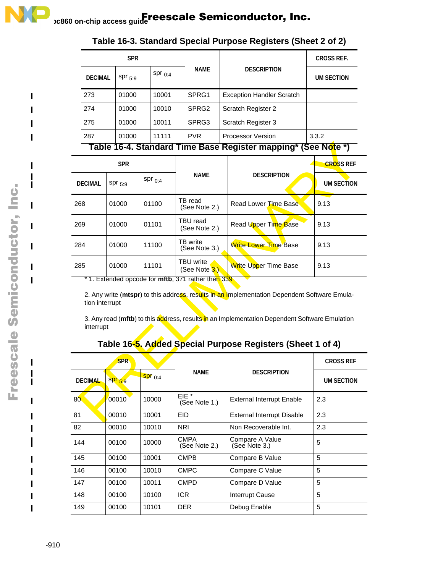| <b>SPR</b>                                                    |             |             |                   |                                  | <b>CROSS REF.</b> |  |
|---------------------------------------------------------------|-------------|-------------|-------------------|----------------------------------|-------------------|--|
| <b>DECIMAL</b>                                                | $spr_{5.9}$ | $spr_{0.4}$ | <b>NAME</b>       | <b>DESCRIPTION</b>               | <b>UM SECTION</b> |  |
| 273                                                           | 01000       | 10001       | SPRG1             | <b>Exception Handler Scratch</b> |                   |  |
| 274                                                           | 01000       | 10010       | SPRG <sub>2</sub> | Scratch Register 2               |                   |  |
| 275                                                           | 01000       | 10011       | SPRG3             | Scratch Register 3               |                   |  |
| 287                                                           | 01000       | 11111       | <b>PVR</b>        | <b>Processor Version</b>         | 3.3.2             |  |
| Table 16-4. Standard Time Base Register mapping* (See Note *) |             |             |                   |                                  |                   |  |

### **Table 16-3. Standard Special Purpose Registers (Sheet 2 of 2)**

| Table 16-4. Standard Time Base Register mapping* (See Note *) |                                                                                                                                                                                                                                                                                                                                                          |             |                                   |                                   |                   |  |
|---------------------------------------------------------------|----------------------------------------------------------------------------------------------------------------------------------------------------------------------------------------------------------------------------------------------------------------------------------------------------------------------------------------------------------|-------------|-----------------------------------|-----------------------------------|-------------------|--|
|                                                               | <b>SPR</b>                                                                                                                                                                                                                                                                                                                                               |             |                                   |                                   | <b>CROSS REF</b>  |  |
| <b>DECIMAL</b>                                                | $Spr_{5.9}$                                                                                                                                                                                                                                                                                                                                              | spr $0.4$   | <b>NAME</b>                       | <b>DESCRIPTION</b>                | <b>UM SECTION</b> |  |
| 268                                                           | 01000                                                                                                                                                                                                                                                                                                                                                    | 01100       | TB read<br>(See Note 2.)          | Read Lower Time Base              | 9.13              |  |
| 269                                                           | 01000                                                                                                                                                                                                                                                                                                                                                    | 01101       | TBU read<br>(See Note 2.)         | Read Upper Time Base              | 9.13              |  |
| 284                                                           | 01000                                                                                                                                                                                                                                                                                                                                                    | 11100       | TB write<br>(See Note 3.)         | <b>Write Lower Time Base</b>      | 9.13              |  |
| 285                                                           | 01000                                                                                                                                                                                                                                                                                                                                                    | 11101       | <b>TBU</b> write<br>(See Note 3.) | Write Upper Time Base             | 9.13              |  |
|                                                               | * 1. Extended opcode for <b>mftb</b> , 371 rather then 339<br>2. Any write (mtspr) to this address, results in an Implementation Dependent Software Emula-<br>tion interrupt<br>3. Any read (mftb) to this address, results in an Implementation Dependent Software Emulation<br>interrupt<br>Table 16-5. Added Special Purpose Registers (Sheet 1 of 4) |             |                                   |                                   |                   |  |
|                                                               | <b>SPR</b>                                                                                                                                                                                                                                                                                                                                               |             |                                   |                                   | <b>CROSS REF</b>  |  |
| <b>DECIMAL</b>                                                | $SPT_{5,9}$                                                                                                                                                                                                                                                                                                                                              | $Spr_{0.4}$ | <b>NAME</b>                       | <b>DESCRIPTION</b>                |                   |  |
| 80 <sub>°</sub>                                               | 00010                                                                                                                                                                                                                                                                                                                                                    | 10000       | EIE <sup>*</sup><br>(See Note 1.) | <b>External Interrupt Enable</b>  | 2.3               |  |
| 81                                                            | 00010                                                                                                                                                                                                                                                                                                                                                    | 10001       | <b>EID</b>                        | <b>External Interrupt Disable</b> | 2.3               |  |

| <b>SPR</b>      |             |             |                                   |                                  | <b>CROSS REF</b>  |
|-----------------|-------------|-------------|-----------------------------------|----------------------------------|-------------------|
| <b>DECIMAL</b>  | $SPT_{5:9}$ | $Spr_{0.4}$ | NAME                              | <b>DESCRIPTION</b>               | <b>UM SECTION</b> |
| 80 <sub>°</sub> | 00010       | 10000       | EIE <sup>*</sup><br>(See Note 1.) | <b>External Interrupt Enable</b> | 2.3               |
| 81              | 00010       | 10001       | EID                               | External Interrupt Disable       | 2.3               |
| 82              | 00010       | 10010       | <b>NRI</b>                        | Non Recoverable Int.             | 2.3               |
| 144             | 00100       | 10000       | CMPA<br>(See Note 2.)             | Compare A Value<br>(See Note 3.) | 5                 |
| 145             | 00100       | 10001       | <b>CMPB</b>                       | Compare B Value                  | 5                 |
| 146             | 00100       | 10010       | <b>CMPC</b>                       | Compare C Value                  | 5                 |
| 147             | 00100       | 10011       | <b>CMPD</b>                       | Compare D Value                  | 5                 |
| 148             | 00100       | 10100       | <b>ICR</b>                        | <b>Interrupt Cause</b>           | 5                 |
| 149             | 00100       | 10101       | <b>DER</b>                        | Debug Enable                     | 5                 |

Ш

П  $\blacksquare$ 

П  $\blacksquare$ L

H

 $\blacksquare$ 

 $\mathbf{I}$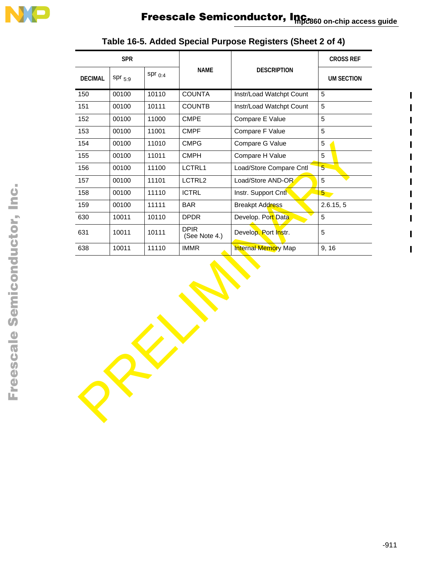

| <b>SPR</b>     |             |              |                              |                            | <b>CROSS REF</b>  |
|----------------|-------------|--------------|------------------------------|----------------------------|-------------------|
| <b>DECIMAL</b> | $spr_{5:9}$ | spr $_{0:4}$ | <b>NAME</b>                  | <b>DESCRIPTION</b>         | <b>UM SECTION</b> |
| 150            | 00100       | 10110        | <b>COUNTA</b>                | Instr/Load Watchpt Count   | 5                 |
| 151            | 00100       | 10111        | <b>COUNTB</b>                | Instr/Load Watchpt Count   | 5                 |
| 152            | 00100       | 11000        | <b>CMPE</b>                  | Compare E Value            | 5                 |
| 153            | 00100       | 11001        | <b>CMPF</b>                  | Compare F Value            | 5                 |
| 154            | 00100       | 11010        | <b>CMPG</b>                  | Compare G Value            | 5                 |
| 155            | 00100       | 11011        | <b>CMPH</b>                  | Compare H Value            | 5                 |
| 156            | 00100       | 11100        | LCTRL1                       | Load/Store Compare Cntl    | 5 <sup>5</sup>    |
| 157            | 00100       | 11101        | LCTRL2                       | Load/Store AND-OR          | 5                 |
| 158            | 00100       | 11110        | <b>ICTRL</b>                 | Instr. Support Cntl        | 5 <sub>5</sub>    |
| 159            | 00100       | 11111        | <b>BAR</b>                   | <b>Breakpt Address</b>     | 2.6.15, 5         |
| 630            | 10011       | 10110        | <b>DPDR</b>                  | Develop. Port Data         | 5                 |
| 631            | 10011       | 10111        | <b>DPIR</b><br>(See Note 4.) | Develop. Port Instr.       | 5                 |
| 638            | 10011       | 11110        | <b>IMMR</b>                  | <b>Internal Memory Map</b> | 9, 16             |
|                |             |              |                              |                            |                   |
|                |             |              |                              |                            |                   |

### **Table 16-5. Added Special Purpose Registers (Sheet 2 of 4)**

 $\blacksquare$ 

П

 $\mathbf{I}$ 

 $\blacksquare$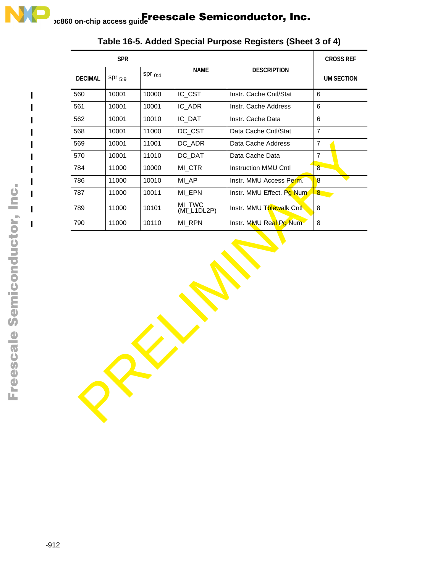| <b>SPR</b>     |             |              |                       |                           | <b>CROSS REF</b>  |
|----------------|-------------|--------------|-----------------------|---------------------------|-------------------|
| <b>DECIMAL</b> | $spr_{5:9}$ | spr $_{0.4}$ | <b>NAME</b>           | <b>DESCRIPTION</b>        | <b>UM SECTION</b> |
| 560            | 10001       | 10000        | IC_CST                | Instr. Cache Cntl/Stat    | 6                 |
| 561            | 10001       | 10001        | IC_ADR                | Instr. Cache Address      | 6                 |
| 562            | 10001       | 10010        | IC_DAT                | Instr. Cache Data         | 6                 |
| 568            | 10001       | 11000        | DC_CST                | Data Cache Cntl/Stat      | $\overline{7}$    |
| 569            | 10001       | 11001        | DC_ADR                | Data Cache Address        | $\overline{7}$    |
| 570            | 10001       | 11010        | DC_DAT                | Data Cache Data           | $\overline{7}$    |
| 784            | 11000       | 10000        | MI_CTR                | Instruction MMU Cntl      | $\overline{8}$    |
| 786            | 11000       | 10010        | MI_AP                 | Instr. MMU Access Perm.   | 8                 |
| 787            | 11000       | 10011        | MI_EPN                | Instr. MMU Effect. Pg Num | $8 -$             |
| 789            | 11000       | 10101        | MI_TWC<br>(MI_L1DL2P) | Instr. MMU Thlewalk Cntl  | 8                 |
| 790            | 11000       | 10110        | MI_RPN                | Instr. MMU Real Pg Num    | 8                 |
|                |             |              |                       |                           |                   |
|                |             |              |                       |                           |                   |

**Table 16-5. Added Special Purpose Registers (Sheet 3 of 4)**

 $\mathbf{I}$  $\mathbf{I}$ 

П

Ш

 $\blacksquare$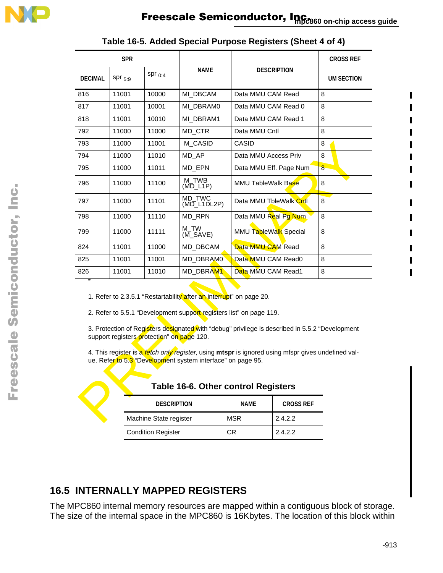| <b>SPR</b>                                                                                                                                                                                                                                                                                                                                                                                                                                                                                                     |                                                       |                        |                       |                           |                    | <b>CROSS REF</b> |
|----------------------------------------------------------------------------------------------------------------------------------------------------------------------------------------------------------------------------------------------------------------------------------------------------------------------------------------------------------------------------------------------------------------------------------------------------------------------------------------------------------------|-------------------------------------------------------|------------------------|-----------------------|---------------------------|--------------------|------------------|
| <b>DECIMAL</b>                                                                                                                                                                                                                                                                                                                                                                                                                                                                                                 | $spr_{5.9}$                                           | $Spr_{0.4}$            | NAME                  |                           | <b>DESCRIPTION</b> | UM SECTION       |
| 816                                                                                                                                                                                                                                                                                                                                                                                                                                                                                                            | 11001                                                 | 10000                  | MI DBCAM              | Data MMU CAM Read         |                    | 8                |
| 817                                                                                                                                                                                                                                                                                                                                                                                                                                                                                                            | 11001                                                 | 10001                  | MI DBRAM0             | Data MMU CAM Read 0       |                    | 8                |
| 818                                                                                                                                                                                                                                                                                                                                                                                                                                                                                                            | 11001                                                 | 10010                  | MI DBRAM1             | Data MMU CAM Read 1       |                    | 8                |
| 792                                                                                                                                                                                                                                                                                                                                                                                                                                                                                                            | 11000                                                 | 11000                  | MD CTR                | Data MMU Cntl             |                    | 8                |
| 793                                                                                                                                                                                                                                                                                                                                                                                                                                                                                                            | 11000                                                 | 11001                  | M CASID               | CASID                     |                    | 8                |
| 794                                                                                                                                                                                                                                                                                                                                                                                                                                                                                                            | 11000                                                 | 11010                  | MD_AP                 | Data MMU Access Priv      |                    | 8                |
| 795                                                                                                                                                                                                                                                                                                                                                                                                                                                                                                            | 11000                                                 | 11011                  | MD_EPN                | Data MMU Eff. Page Num    |                    | 8                |
| 796                                                                                                                                                                                                                                                                                                                                                                                                                                                                                                            | 11000                                                 | 11100                  | M_TWB<br>(MD_L1P)     | <b>MMU TableWalk Base</b> |                    | 8                |
| 797                                                                                                                                                                                                                                                                                                                                                                                                                                                                                                            | 11000                                                 | 11101                  | MD_TWC<br>(MD L1DL2P) | Data MMU TbleWalk Cntl    |                    | 8                |
| 798                                                                                                                                                                                                                                                                                                                                                                                                                                                                                                            | 11000                                                 | 11110                  | MD_RPN                | Data MMU Real Pg Num      |                    | 8                |
| 799                                                                                                                                                                                                                                                                                                                                                                                                                                                                                                            | 11000                                                 | 11111                  | M TW<br>$(M_SAVE)$    | MMU TableWalk Special     |                    | 8                |
| 824                                                                                                                                                                                                                                                                                                                                                                                                                                                                                                            | 11001                                                 | 11000                  | MD DBCAM              | Data MMU CAM Read         |                    | 8                |
| 825                                                                                                                                                                                                                                                                                                                                                                                                                                                                                                            | 11001                                                 | 11001                  | MD DBRAM0             | Data MMU CAM Read0        |                    | 8                |
| 826                                                                                                                                                                                                                                                                                                                                                                                                                                                                                                            | 11001                                                 | 11010                  | MD DBRAM1             | Data MMU CAM Read1        |                    | 8                |
| 1. Refer to 2.3.5.1 "Restartability after an interrupt" on page 20.<br>2. Refer to 5.5.1 "Development support registers list" on page 119.<br>3. Protection of Registers designated with "debug" privilege is described in 5.5.2 "Development<br>support registers protection" on page 120.<br>4. This register is a fetch only register, using mtspr is ignored using mfspr gives undefined val-<br>ue. Refer to 5.3 "Development system interface" on page 95.<br><b>Table 16-6. Other control Registers</b> |                                                       |                        |                       |                           |                    |                  |
|                                                                                                                                                                                                                                                                                                                                                                                                                                                                                                                | <b>NAME</b><br><b>DESCRIPTION</b><br><b>CROSS REF</b> |                        |                       |                           |                    |                  |
|                                                                                                                                                                                                                                                                                                                                                                                                                                                                                                                |                                                       | Machine State register |                       | <b>MSR</b>                | 2.4.2.2            |                  |

| Table 16-5. Added Special Purpose Registers (Sheet 4 of 4) |  |  |
|------------------------------------------------------------|--|--|
|------------------------------------------------------------|--|--|

| <b>DESCRIPTION</b>        | <b>NAME</b> | <b>CROSS REF</b> |
|---------------------------|-------------|------------------|
| Machine State register    | <b>MSR</b>  | 2.4.2.2          |
| <b>Condition Register</b> | CR          | 2.4.2.2          |

#### **Table 16-6. Other control Registers**

### **16.5 INTERNALLY MAPPED REGISTERS**

The MPC860 internal memory resources are mapped within a contiguous block of storage. The size of the internal space in the MPC860 is 16Kbytes. The location of this block within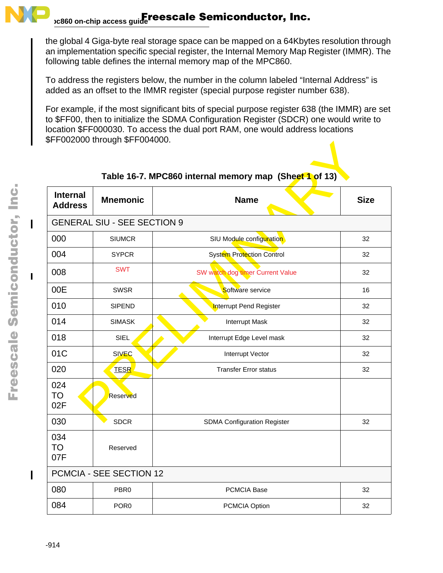

#### **mpc860 on-chip access guide**  Freescale Semiconductor, Inc.

the global 4 Giga-byte real storage space can be mapped on a 64Kbytes resolution through an implementation specific special register, the Internal Memory Map Register (IMMR). The following table defines the internal memory map of the MPC860.

To address the registers below, the number in the column labeled "Internal Address" is added as an offset to the IMMR register (special purpose register number 638).

For example, if the most significant bits of special purpose register 638 (the IMMR) are set to \$FF00, then to initialize the SDMA Configuration Register (SDCR) one would write to location \$FF000030. To access the dual port RAM, one would address locations \$FF002000 through \$FF004000.

| OLLOUS AND INTO A LITTLE OF LOUSE AND A |                                    |                                                        |             |  |  |  |
|-----------------------------------------|------------------------------------|--------------------------------------------------------|-------------|--|--|--|
|                                         |                                    | Table 16-7. MPC860 internal memory map (Sheet 1 of 13) |             |  |  |  |
| <b>Internal</b><br><b>Address</b>       | <b>Mnemonic</b>                    | <b>Name</b>                                            | <b>Size</b> |  |  |  |
|                                         | <b>GENERAL SIU - SEE SECTION 9</b> |                                                        |             |  |  |  |
| 000                                     | <b>SIUMCR</b>                      | SIU Module configuration                               | 32          |  |  |  |
| 004                                     | <b>SYPCR</b>                       | System Protection Control                              | 32          |  |  |  |
| 008                                     | <b>SWT</b>                         | SW watch dog timer Current Value                       | 32          |  |  |  |
| 00E                                     | <b>SWSR</b>                        | Software service                                       | 16          |  |  |  |
| 010                                     | <b>SIPEND</b>                      | Interrupt Pend Register                                | 32          |  |  |  |
| 014                                     | <b>SIMASK</b>                      | <b>Interrupt Mask</b>                                  | 32          |  |  |  |
| 018                                     | <b>SIEL</b>                        | Interrupt Edge Level mask                              | 32          |  |  |  |
| 01C                                     | <b>SIVEC</b>                       | Interrupt Vector                                       | 32          |  |  |  |
| 020                                     | <b>TESR</b>                        | <b>Transfer Error status</b>                           | 32          |  |  |  |
| 024<br><b>TO</b><br>02F                 | Reserved                           |                                                        |             |  |  |  |
| 030                                     | <b>SDCR</b>                        | <b>SDMA Configuration Register</b>                     | 32          |  |  |  |
| 034<br><b>TO</b><br>07F                 | Reserved                           |                                                        |             |  |  |  |
|                                         | PCMCIA - SEE SECTION 12            |                                                        |             |  |  |  |
| 080                                     | PBR <sub>0</sub>                   | PCMCIA Base                                            | 32          |  |  |  |
| 084                                     | POR <sub>0</sub>                   | PCMCIA Option                                          | 32          |  |  |  |

### **Table 16-7. MPC860 internal memory map (Sheet 1 of 13)**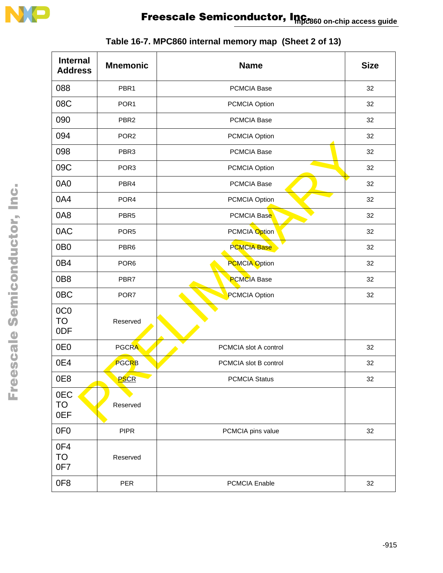

| <b>Internal</b><br><b>Address</b>   | <b>Mnemonic</b>  | <b>Name</b>           | <b>Size</b> |
|-------------------------------------|------------------|-----------------------|-------------|
| 088                                 | PBR <sub>1</sub> | <b>PCMCIA Base</b>    | 32          |
| 08C                                 | POR <sub>1</sub> | PCMCIA Option         | 32          |
| 090                                 | PBR <sub>2</sub> | <b>PCMCIA Base</b>    | 32          |
| 094                                 | POR <sub>2</sub> | PCMCIA Option         | 32          |
| 098                                 | PBR <sub>3</sub> | <b>PCMCIA Base</b>    | 32          |
| 09C                                 | POR <sub>3</sub> | PCMCIA Option         | 32          |
| 0A0                                 | PBR4             | PCMCIA Base           | 32          |
| 0A4                                 | POR <sub>4</sub> | PCMCIA Option         | 32          |
| 0A8                                 | PBR <sub>5</sub> | PCMCIA Base           | 32          |
| 0AC                                 | POR <sub>5</sub> | PCMCIA Option         | 32          |
| 0B <sub>0</sub>                     | PBR <sub>6</sub> | <b>PCMCIA Base</b>    | 32          |
| 0B4                                 | POR <sub>6</sub> | <b>PCMCIA Option</b>  | 32          |
| 0B8                                 | PBR7             | <b>PCMCIA Base</b>    | 32          |
| 0 <sub>BC</sub>                     | POR7             | PCMCIA Option         | 32          |
| 0C <sub>0</sub><br><b>TO</b><br>0DF | Reserved         |                       |             |
| 0E <sub>0</sub>                     | <b>PGCRA</b>     | PCMCIA slot A control | 32          |
| 0E4                                 | PGCRB            | PCMCIA slot B control | 32          |
| 0E8                                 | PSCR             | <b>PCMCIA Status</b>  | 32          |
| 0EC<br>TO<br>0EF                    | Reserved         |                       |             |
| 0F <sub>0</sub>                     | <b>PIPR</b>      | PCMCIA pins value     | 32          |
| 0F4<br><b>TO</b><br>0F7             | Reserved         |                       |             |
| 0F8                                 | <b>PER</b>       | PCMCIA Enable         | 32          |

| Table 16-7. MPC860 internal memory map (Sheet 2 of 13) |  |
|--------------------------------------------------------|--|
|--------------------------------------------------------|--|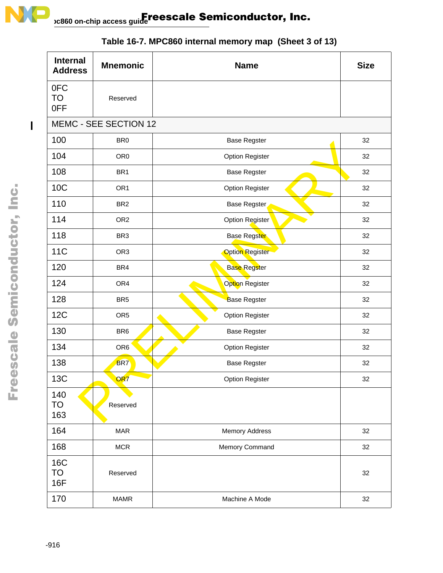

| <b>Internal</b><br><b>Address</b> | <b>Mnemonic</b>       | <b>Name</b>            | <b>Size</b> |
|-----------------------------------|-----------------------|------------------------|-------------|
| 0FC<br>TO<br>0FF                  | Reserved              |                        |             |
|                                   | MEMC - SEE SECTION 12 |                        |             |
| 100                               | BR <sub>0</sub>       | <b>Base Regster</b>    | 32          |
| 104                               | OR <sub>0</sub>       | <b>Option Register</b> | 32          |
| 108                               | BR <sub>1</sub>       | <b>Base Regster</b>    | 32          |
| <b>10C</b>                        | OR <sub>1</sub>       | <b>Option Register</b> | 32          |
| 110                               | BR <sub>2</sub>       | Base Regster           | 32          |
| 114                               | OR <sub>2</sub>       | Option Register        | 32          |
| 118                               | BR <sub>3</sub>       | Base Regster           | 32          |
| <b>11C</b>                        | OR <sub>3</sub>       | <b>Option Register</b> | 32          |
| 120                               | BR4                   | <b>Base Regster</b>    | 32          |
| 124                               | OR4                   | Option Register        | 32          |
| 128                               | BR <sub>5</sub>       | <b>Base Regster</b>    | 32          |
| <b>12C</b>                        | OR <sub>5</sub>       | <b>Option Register</b> | 32          |
| 130                               | BR <sub>6</sub>       | <b>Base Regster</b>    | 32          |
| 134                               | OR <sub>6</sub>       | <b>Option Register</b> | 32          |
| 138                               | BR <sub>7</sub>       | <b>Base Regster</b>    | 32          |
| 13C                               | OR7                   | <b>Option Register</b> | 32          |
| 140<br><b>TO</b><br>163           | Reserved              |                        |             |
| 164                               | <b>MAR</b>            | <b>Memory Address</b>  | 32          |
| 168                               | MCR                   | Memory Command         | 32          |
| <b>16C</b><br>TO<br><b>16F</b>    | Reserved              |                        | 32          |
| 170                               | <b>MAMR</b>           | Machine A Mode         | 32          |

# **Table 16-7. MPC860 internal memory map (Sheet 3 of 13)**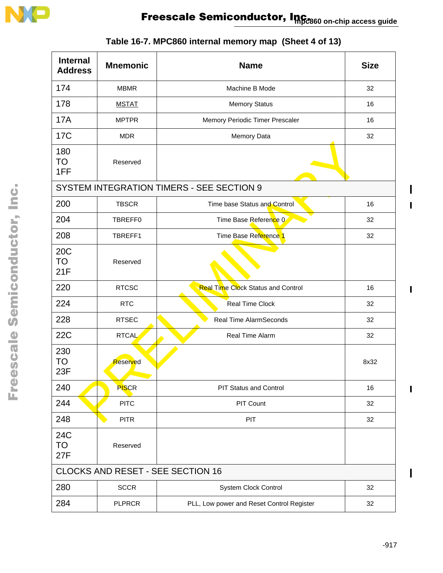

| <b>Internal</b><br><b>Address</b> | <b>Mnemonic</b> | <b>Name</b>                               | <b>Size</b> |
|-----------------------------------|-----------------|-------------------------------------------|-------------|
| 174                               | <b>MBMR</b>     | Machine B Mode                            | 32          |
| 178                               | <b>MSTAT</b>    | <b>Memory Status</b>                      | 16          |
| <b>17A</b>                        | <b>MPTPR</b>    | Memory Periodic Timer Prescaler           | 16          |
| <b>17C</b>                        | <b>MDR</b>      | Memory Data                               | 32          |
| 180<br>TO<br>1FF                  | Reserved        |                                           |             |
|                                   |                 | SYSTEM INTEGRATION TIMERS - SEE SECTION 9 |             |
| 200                               | <b>TBSCR</b>    | Time base Status and Control              | 16          |
| 204                               | TBREFF0         | Time Base Reference 0                     | 32          |
| 208                               | TBREFF1         | Time Base Reference 1                     | 32          |
| 20C<br>TO<br>21F                  | Reserved        |                                           |             |
| 220                               | <b>RTCSC</b>    | <b>Real Time Clock Status and Control</b> | 16          |
| 224                               | <b>RTC</b>      | Real Time Clock                           | 32          |
| 228                               | <b>RTSEC</b>    | <b>Real Time AlarmSeconds</b>             | 32          |
| <b>22C</b>                        | <b>RTCAL</b>    | Real Time Alarm                           | 32          |
| 230<br>TO<br>23F                  | Reserved        |                                           | 8x32        |
| 240                               | <b>PISCR</b>    | <b>PIT Status and Control</b>             | 16          |
| 244                               | <b>PITC</b>     | PIT Count                                 | 32          |
| 248                               | <b>PITR</b>     | PIT                                       | 32          |
| <b>24C</b><br><b>TO</b><br>27F    | Reserved        |                                           |             |
|                                   |                 | <b>CLOCKS AND RESET - SEE SECTION 16</b>  |             |
| 280                               | <b>SCCR</b>     | System Clock Control                      | 32          |
| 284                               | <b>PLPRCR</b>   | PLL, Low power and Reset Control Register | 32          |

 $\blacksquare$ 

 $\mathbf{I}$ 

 $\blacksquare$ 

 $\blacksquare$ 

 $\begin{array}{c} \rule{0pt}{2.5ex} \rule{0pt}{2.5ex} \rule{0pt}{2.5ex} \rule{0pt}{2.5ex} \rule{0pt}{2.5ex} \rule{0pt}{2.5ex} \rule{0pt}{2.5ex} \rule{0pt}{2.5ex} \rule{0pt}{2.5ex} \rule{0pt}{2.5ex} \rule{0pt}{2.5ex} \rule{0pt}{2.5ex} \rule{0pt}{2.5ex} \rule{0pt}{2.5ex} \rule{0pt}{2.5ex} \rule{0pt}{2.5ex} \rule{0pt}{2.5ex} \rule{0pt}{2.5ex} \rule{0pt}{2.5ex} \rule{0$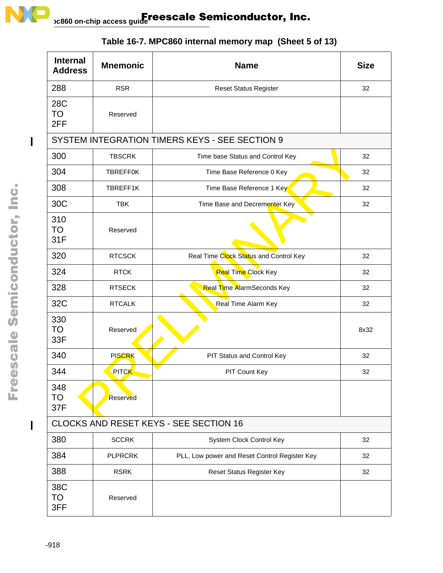

| <b>Internal</b><br><b>Address</b> | <b>Mnemonic</b>                                | <b>Name</b>                                   | <b>Size</b> |  |  |
|-----------------------------------|------------------------------------------------|-----------------------------------------------|-------------|--|--|
| 288                               | <b>RSR</b>                                     | <b>Reset Status Register</b>                  | 32          |  |  |
| 28C<br>TO<br>2FF                  | Reserved                                       |                                               |             |  |  |
|                                   | SYSTEM INTEGRATION TIMERS KEYS - SEE SECTION 9 |                                               |             |  |  |
| 300                               | <b>TBSCRK</b>                                  | Time base Status and Control Key              | 32          |  |  |
| 304                               | <b>TBREFF0K</b>                                | Time Base Reference 0 Key                     | 32          |  |  |
| 308                               | TBREFF1K                                       | Time Base Reference 1 Key                     | 32          |  |  |
| 30C                               | <b>TBK</b>                                     | Time Base and Decrementer Key                 | 32          |  |  |
| 310<br><b>TO</b><br>31F           | Reserved                                       |                                               |             |  |  |
| 320                               | <b>RTCSCK</b>                                  | Real Time Clock Status and Control Key        | 32          |  |  |
| 324                               | <b>RTCK</b>                                    | Real Time Clock Key                           | 32          |  |  |
| 328                               | <b>RTSECK</b>                                  | <b>Real Time AlarmSeconds Key</b>             | 32          |  |  |
| 32C                               | <b>RTCALK</b>                                  | Real Time Alarm Key                           | 32          |  |  |
| 330<br><b>TO</b><br>33F           | Reserved                                       |                                               | 8x32        |  |  |
| 340                               | <b>PISCRK</b>                                  | PIT Status and Control Key                    | 32          |  |  |
| 344                               | PIT <mark>CK</mark>                            | PIT Count Key                                 | 32          |  |  |
| 348<br><b>TO</b><br>37F           | Reserved                                       |                                               |             |  |  |
|                                   | CLOCKS AND RESET KEYS - SEE SECTION 16         |                                               |             |  |  |
| 380                               | <b>SCCRK</b>                                   | System Clock Control Key                      | 32          |  |  |
| 384                               | <b>PLPRCRK</b>                                 | PLL, Low power and Reset Control Register Key | 32          |  |  |
| 388                               | <b>RSRK</b>                                    | Reset Status Register Key                     | 32          |  |  |
| 38C<br><b>TO</b><br>3FF           | Reserved                                       |                                               |             |  |  |

# **Table 16-7. MPC860 internal memory map (Sheet 5 of 13)**

 $\mathbf l$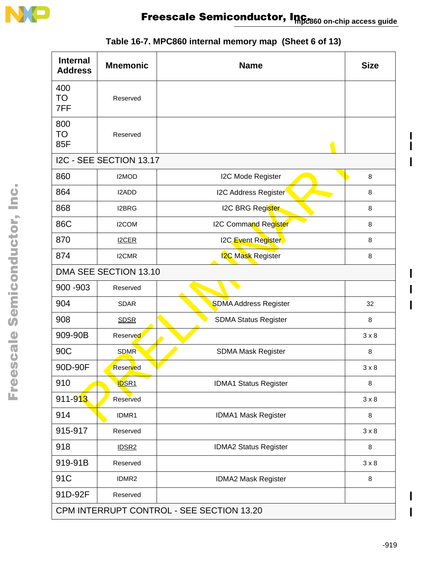

| <b>Internal</b><br><b>Address</b> | <b>Mnemonic</b>         | <b>Name</b>                               | <b>Size</b>  |
|-----------------------------------|-------------------------|-------------------------------------------|--------------|
| 400<br>TO<br>7FF                  | Reserved                |                                           |              |
| 800<br>TO<br>85F                  | Reserved                |                                           |              |
|                                   | I2C - SEE SECTION 13.17 |                                           |              |
| 860                               | I2MOD                   | I2C Mode Register                         | 8            |
| 864                               | I2ADD                   | <b>I2C Address Register</b>               | 8            |
| 868                               | <b>I2BRG</b>            | <b>I2C BRG Register</b>                   | 8            |
| 86C                               | I2COM                   | I2C Command Register                      | 8            |
| 870                               | <b>I2CER</b>            | I2C Event Register                        | 8            |
| 874                               | I2CMR                   | <b>I2C Mask Register</b>                  | 8            |
|                                   | DMA SEE SECTION 13.10   |                                           |              |
| 900 - 903                         | Reserved                |                                           |              |
| 904                               | <b>SDAR</b>             | <b>SDMA Address Register</b>              | 32           |
| 908                               | <b>SDSR</b>             | <b>SDMA Status Register</b>               | 8            |
| 909-90B                           | Reserved                |                                           | $3 \times 8$ |
| 90C                               | <b>SDMR</b>             | SDMA Mask Register                        | 8            |
| 90D-90F                           | Reserved                |                                           | $3 \times 8$ |
| 910                               | <b>IDSR1</b>            | <b>IDMA1 Status Register</b>              | 8            |
| 911-913                           | Reserved                |                                           | $3 \times 8$ |
| 914                               | IDMR1                   | IDMA1 Mask Register                       | 8            |
| 915-917                           | Reserved                |                                           | $3 \times 8$ |
| 918                               | IDSR <sub>2</sub>       | IDMA2 Status Register                     | 8            |
| 919-91B                           | Reserved                |                                           | $3 \times 8$ |
| 91C                               | IDMR <sub>2</sub>       | IDMA2 Mask Register                       | 8            |
| 91D-92F                           | Reserved                |                                           |              |
|                                   |                         | CPM INTERRUPT CONTROL - SEE SECTION 13.20 |              |

# **Table 16-7. MPC860 internal memory map (Sheet 6 of 13)**

I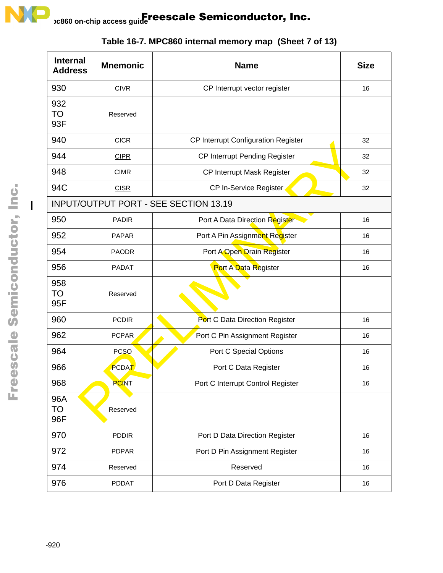

| <b>Internal</b><br><b>Address</b> | <b>Mnemonic</b> | <b>Name</b>                                  | <b>Size</b> |
|-----------------------------------|-----------------|----------------------------------------------|-------------|
| 930                               | <b>CIVR</b>     | CP Interrupt vector register                 | 16          |
| 932<br>TO<br>93F                  | Reserved        |                                              |             |
| 940                               | <b>CICR</b>     | CP Interrupt Configuration Register          | 32          |
| 944                               | <b>CIPR</b>     | CP Interrupt Pending Register                | 32          |
| 948                               | <b>CIMR</b>     | CP Interrupt Mask Register                   | 32          |
| 94C                               | <b>CISR</b>     | CP In-Service Register                       | 32          |
|                                   |                 | <b>INPUT/OUTPUT PORT - SEE SECTION 13.19</b> |             |
| 950                               | <b>PADIR</b>    | Port A Data Direction Register               | 16          |
| 952                               | <b>PAPAR</b>    | Port A Pin Assignment Register               | 16          |
| 954                               | <b>PAODR</b>    | Port A Open Drain Register                   | 16          |
| 956                               | <b>PADAT</b>    | Port A Data Register                         | 16          |
| 958<br>TO<br>95F                  | Reserved        |                                              |             |
| 960                               | <b>PCDIR</b>    | Port C Data Direction Register               | 16          |
| 962                               | PCPAR           | Port C Pin Assignment Register               | 16          |
| 964                               | <b>PCSO</b>     | Port C Special Options                       | 16          |
| 966                               | PCDAT           | Port C Data Register                         | 16          |
| 968                               | <b>PCINT</b>    | Port C Interrupt Control Register            | 16          |
| 96A<br>TO<br>96F                  | Reserved        |                                              |             |
| 970                               | <b>PDDIR</b>    | Port D Data Direction Register               | 16          |
| 972                               | <b>PDPAR</b>    | Port D Pin Assignment Register               | 16          |
| 974                               | Reserved        | Reserved                                     | 16          |
| 976                               | PDDAT           | Port D Data Register                         | 16          |

**Table 16-7. MPC860 internal memory map (Sheet 7 of 13)**

 $\overline{1}$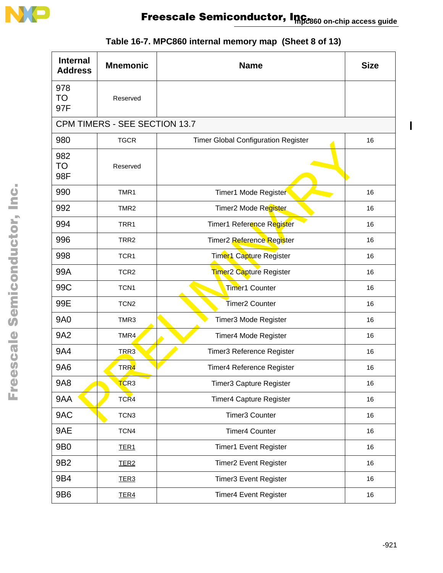

| <b>Internal</b><br><b>Address</b> | <b>Mnemonic</b>               | <b>Name</b>                                | <b>Size</b> |
|-----------------------------------|-------------------------------|--------------------------------------------|-------------|
| 978<br><b>TO</b><br>97F           | Reserved                      |                                            |             |
|                                   | CPM TIMERS - SEE SECTION 13.7 |                                            |             |
| 980                               | <b>TGCR</b>                   | <b>Timer Global Configuration Register</b> | 16          |
| 982<br><b>TO</b><br>98F           | Reserved                      |                                            |             |
| 990                               | TMR1                          | Timer1 Mode Register                       | 16          |
| 992                               | TMR <sub>2</sub>              | Timer2 Mode Register                       | 16          |
| 994                               | TRR1                          | Timer1 Reference Register                  | 16          |
| 996                               | TRR <sub>2</sub>              | Timer2 Reference Register                  | 16          |
| 998                               | TCR1                          | Timer1 Capture Register                    | 16          |
| 99A                               | TCR <sub>2</sub>              | Timer <sub>2</sub> Capture Register        | 16          |
| 99C                               | TCN <sub>1</sub>              | Timer1 Counter                             | 16          |
| 99E                               | TCN <sub>2</sub>              | Timer <sub>2</sub> Counter                 | 16          |
| <b>9A0</b>                        | TMR3                          | Timer3 Mode Register                       | 16          |
| <b>9A2</b>                        | TMR4                          | Timer4 Mode Register                       | 16          |
| 9A4                               | TRR3                          | Timer3 Reference Register                  | 16          |
| 9A6                               | TRR4                          | <b>Timer4 Reference Register</b>           | 16          |
| 9A8                               | TCR3                          | Timer3 Capture Register                    | 16          |
| 9AA                               | TCR4                          | Timer4 Capture Register                    | 16          |
| 9AC                               | TCN <sub>3</sub>              | <b>Timer3 Counter</b>                      | 16          |
| 9AE                               | TCN4                          | <b>Timer4 Counter</b>                      | 16          |
| 9B0                               | TER <sub>1</sub>              | <b>Timer1 Event Register</b>               | 16          |
| 9B2                               | TER <sub>2</sub>              | <b>Timer2 Event Register</b>               | 16          |
| 9B4                               | TER <sub>3</sub>              | <b>Timer3 Event Register</b>               | 16          |
| 9B6                               | TER <sub>4</sub>              | <b>Timer4 Event Register</b>               | 16          |

# **Table 16-7. MPC860 internal memory map (Sheet 8 of 13)**

 $\mathbf I$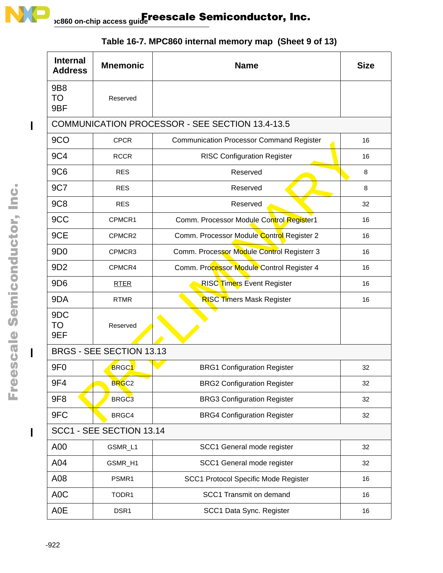

| <b>Internal</b><br><b>Address</b> | <b>Mnemonic</b>          | <b>Name</b>                                     | <b>Size</b> |  |
|-----------------------------------|--------------------------|-------------------------------------------------|-------------|--|
| 9B8<br><b>TO</b><br>9BF           | Reserved                 |                                                 |             |  |
|                                   |                          | COMMUNICATION PROCESSOR - SEE SECTION 13.4-13.5 |             |  |
| 9CO                               | <b>CPCR</b>              | <b>Communication Processor Command Register</b> | 16          |  |
| 9C4                               | <b>RCCR</b>              | <b>RISC Configuration Register</b>              | 16          |  |
| 9C <sub>6</sub>                   | <b>RES</b>               | Reserved                                        | 8           |  |
| 9C7                               | <b>RES</b>               | Reserved                                        | 8           |  |
| <b>9C8</b>                        | <b>RES</b>               | Reserved                                        | 32          |  |
| 9CC                               | CPMCR1                   | Comm. Processor Module Control Register1        | 16          |  |
| 9CE                               | CPMCR2                   | Comm. Processor Module Control Register 2       | 16          |  |
| 9 <sub>D</sub> <sub>0</sub>       | CPMCR3                   | Comm. Processor Module Control Registerr 3      | 16          |  |
| 9D <sub>2</sub>                   | CPMCR4                   | Comm. Processor Module Control Register 4       | 16          |  |
| 9D <sub>6</sub>                   | <b>RTER</b>              | <b>RISC Timers Event Register</b>               | 16          |  |
| 9DA                               | <b>RTMR</b>              | <b>RISC Timers Mask Register</b>                | 16          |  |
| 9DC<br>TO<br>9EF                  | Reserved                 |                                                 |             |  |
|                                   | BRGS - SEE SECTION 13.13 |                                                 |             |  |
| 9F <sub>0</sub>                   | <b>BRGC1</b>             | <b>BRG1 Configuration Register</b>              | 32          |  |
| 9F4                               | BRGC <sub>2</sub>        | <b>BRG2 Configuration Register</b>              | 32          |  |
| 9F <sub>8</sub>                   | BRGC <sub>3</sub>        | <b>BRG3 Configuration Register</b>              | 32          |  |
| 9FC                               | BRGC4                    | <b>BRG4 Configuration Register</b>              | 32          |  |
| SCC1 - SEE SECTION 13.14          |                          |                                                 |             |  |
| A00                               | GSMR_L1                  | SCC1 General mode register                      | 32          |  |
| A04                               | GSMR_H1                  | SCC1 General mode register                      | 32          |  |
| A08                               | PSMR1                    | SCC1 Protocol Specific Mode Register            | 16          |  |
| A <sub>0</sub> C                  | TODR1                    | SCC1 Transmit on demand                         | 16          |  |
| A0E                               | DSR1                     | SCC1 Data Sync. Register                        | 16          |  |

**Table 16-7. MPC860 internal memory map (Sheet 9 of 13)**

 $\overline{\phantom{a}}$ 

I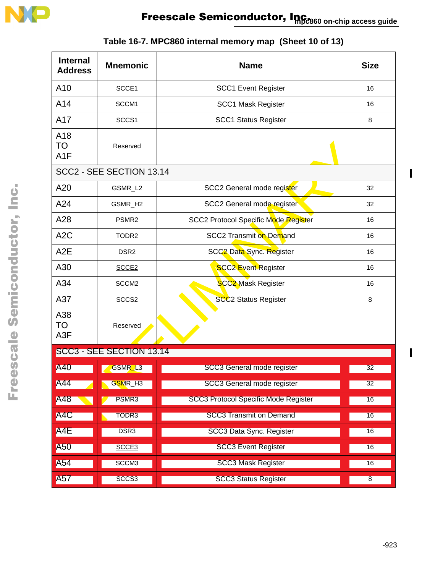

| <b>Internal</b><br><b>Address</b>    | <b>Mnemonic</b>          | <b>Name</b>                                 | <b>Size</b>    |
|--------------------------------------|--------------------------|---------------------------------------------|----------------|
| A10                                  | SCCE1                    | <b>SCC1 Event Register</b>                  | 16             |
| A14                                  | SCCM1                    | <b>SCC1 Mask Register</b>                   | 16             |
| A17                                  | SCCS1                    | <b>SCC1 Status Register</b>                 | 8              |
| A18<br><b>TO</b><br>A <sub>1</sub> F | Reserved                 |                                             |                |
|                                      | SCC2 - SEE SECTION 13.14 |                                             |                |
| A20                                  | GSMR_L2                  | SCC2 General mode register                  | 32             |
| A24                                  | GSMR_H2                  | SCC2 General mode register                  | 32             |
| A28                                  | PSMR <sub>2</sub>        | SCC2 Protocol Specific Mode Register        | 16             |
| A <sub>2</sub> C                     | TODR <sub>2</sub>        | <b>SCC2 Transmit on Demand</b>              | 16             |
| A <sub>2</sub> E                     | DSR <sub>2</sub>         | SCC2 Data Sync. Register                    | 16             |
| A30                                  | SCCE <sub>2</sub>        | <b>SCC2 Event Register</b>                  | 16             |
| A34                                  | SCCM <sub>2</sub>        | <b>SCC2 Mask Register</b>                   | 16             |
| A37                                  | SCCS <sub>2</sub>        | <b>SCC2 Status Register</b>                 | 8              |
| A38<br><b>TO</b><br>A <sub>3</sub> F | Reserved                 |                                             |                |
|                                      | SCC3 - SEE SECTION 13.14 |                                             |                |
| A40                                  | GSMR_L3                  | SCC3 General mode register                  | 32             |
| A44                                  | GSMR_H3                  | <b>SCC3 General mode register</b>           | 32             |
| A48                                  | PSMR3                    | <b>SCC3 Protocol Specific Mode Register</b> | 16             |
| A4C                                  | TODR <sub>3</sub>        | <b>SCC3 Transmit on Demand</b>              | 16             |
| A4E                                  | DSR <sub>3</sub>         | <b>SCC3 Data Sync. Register</b>             | 16             |
| A50                                  | SCCE <sub>3</sub>        | <b>SCC3 Event Register</b>                  | 16             |
| A54                                  | SCCM <sub>3</sub>        | <b>SCC3 Mask Register</b>                   | 16             |
| A57                                  | SCCS3                    | <b>SCC3 Status Register</b>                 | $\overline{8}$ |

# **Table 16-7. MPC860 internal memory map (Sheet 10 of 13)**

 $\overline{\phantom{a}}$ 

 $\overline{\phantom{a}}$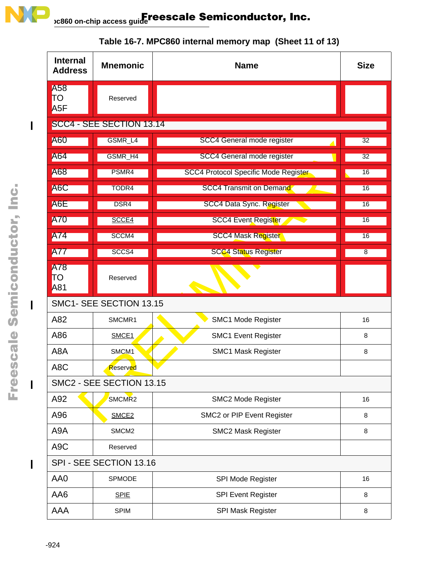

| <b>Internal</b><br><b>Address</b> | <b>Mnemonic</b>          | <b>Name</b>                                     | <b>Size</b> |  |  |
|-----------------------------------|--------------------------|-------------------------------------------------|-------------|--|--|
| A58<br>ΠO<br>A <sub>5</sub> F     | Reserved                 |                                                 |             |  |  |
|                                   | SCC4 - SEE SECTION 13.14 |                                                 |             |  |  |
| <b>A60</b>                        | GSMR_L4                  | <b>SCC4 General mode register</b>               | 32          |  |  |
| A64                               | GSMR_H4                  | <b>SCC4 General mode register</b>               | 32          |  |  |
| A68                               | PSMR4                    | <b>SCC4 Protocol Specific Mode Register</b>     | 16          |  |  |
| A6C                               | TODR4                    | <b>SCC4 Transmit on Demand</b><br>$\mathcal{L}$ | 16          |  |  |
| A6E                               | DSR4                     | SCC4 Data Sync. Register                        | 16          |  |  |
| <b>A70</b>                        | SCCE4                    | <b>SCC4 Event Register</b>                      | 16          |  |  |
| A74                               | SCCM4                    | <b>SCC4 Mask Register</b>                       | 16          |  |  |
| <b>A77</b>                        | SCCS4                    | <b>SCC4 Status Register</b>                     | 8           |  |  |
| A78<br>TΟ<br>A81                  | Reserved                 |                                                 |             |  |  |
|                                   | SMC1- SEE SECTION 13.15  |                                                 |             |  |  |
| A82                               | SMCMR1                   | SMC1 Mode Register                              | 16          |  |  |
| A86                               | SMCE <sub>1</sub>        | <b>SMC1 Event Register</b>                      | 8           |  |  |
| A8A                               | SMCM <sub>1</sub>        | <b>SMC1 Mask Register</b>                       | 8           |  |  |
| A <sub>8</sub> C                  | Reserved                 |                                                 |             |  |  |
|                                   | SMC2 - SEE SECTION 13.15 |                                                 |             |  |  |
| A92                               | SMCMR <sub>2</sub>       | SMC2 Mode Register                              | 16          |  |  |
| A96                               | SMCE <sub>2</sub>        | SMC2 or PIP Event Register                      | 8           |  |  |
| A9A                               | SMCM <sub>2</sub>        | <b>SMC2 Mask Register</b>                       | 8           |  |  |
| A <sub>9</sub> C                  | Reserved                 |                                                 |             |  |  |
|                                   | SPI - SEE SECTION 13.16  |                                                 |             |  |  |
| AA0                               | SPMODE                   | SPI Mode Register                               | 16          |  |  |
| AA6                               | <b>SPIE</b>              | <b>SPI Event Register</b>                       | 8           |  |  |
| AAA                               | <b>SPIM</b>              | SPI Mask Register                               | 8           |  |  |

### **Table 16-7. MPC860 internal memory map (Sheet 11 of 13)**

 $\overline{\phantom{a}}$ 

 $\blacksquare$ 

 $\mathbf{l}$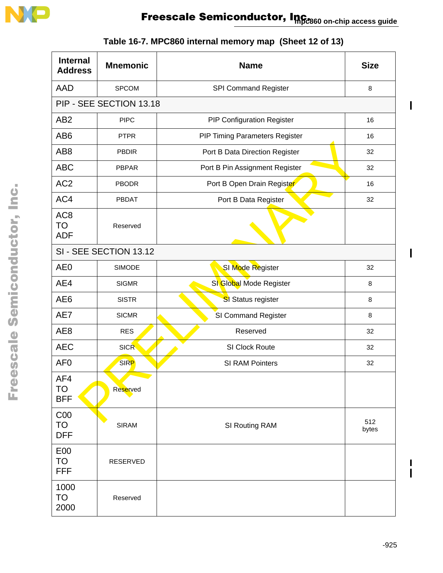

| <b>Internal</b><br><b>Address</b>          | <b>Mnemonic</b>         | <b>Name</b>                       | <b>Size</b> |
|--------------------------------------------|-------------------------|-----------------------------------|-------------|
| <b>AAD</b>                                 | <b>SPCOM</b>            | <b>SPI Command Register</b>       | 8           |
|                                            | PIP - SEE SECTION 13.18 |                                   |             |
| AB <sub>2</sub>                            | <b>PIPC</b>             | <b>PIP Configuration Register</b> | 16          |
| AB <sub>6</sub>                            | <b>PTPR</b>             | PIP Timing Parameters Register    | 16          |
| AB <sub>8</sub>                            | <b>PBDIR</b>            | Port B Data Direction Register    | 32          |
| <b>ABC</b>                                 | PBPAR                   | Port B Pin Assignment Register    | 32          |
| AC <sub>2</sub>                            | <b>PBODR</b>            | Port B Open Drain Register        |             |
| AC4                                        | <b>PBDAT</b>            | Port B Data Register              |             |
| AC <sub>8</sub><br><b>TO</b><br><b>ADF</b> | Reserved                |                                   |             |
|                                            | SI - SEE SECTION 13.12  |                                   |             |
| AE <sub>0</sub>                            | <b>SIMODE</b>           | SI Mode Register                  | 32          |
| AE4                                        | <b>SIGMR</b>            | SI Global Mode Register           | 8           |
| AE <sub>6</sub>                            | <b>SISTR</b>            | SI Status register                | 8           |
| AE7                                        | <b>SICMR</b>            | SI Command Register               |             |
| AE <sub>8</sub>                            | <b>RES</b>              | Reserved                          | 32          |
| <b>AEC</b>                                 | <b>SICR</b>             | SI Clock Route                    | 32          |
| AF <sub>0</sub>                            | <b>SIRP</b>             | SI RAM Pointers                   |             |
| AF4<br><b>TO</b><br><b>BFF</b>             | Reserved                |                                   |             |
| C <sub>00</sub><br><b>TO</b><br><b>DFF</b> | <b>SIRAM</b>            | SI Routing RAM                    |             |
| E00<br><b>TO</b><br><b>FFF</b>             | RESERVED                |                                   |             |
| 1000<br><b>TO</b><br>2000                  | Reserved                |                                   |             |

# **Table 16-7. MPC860 internal memory map (Sheet 12 of 13)**

 $\mathbf I$  $\mathbf{I}$ 

 $\blacksquare$ 

 $\overline{\phantom{a}}$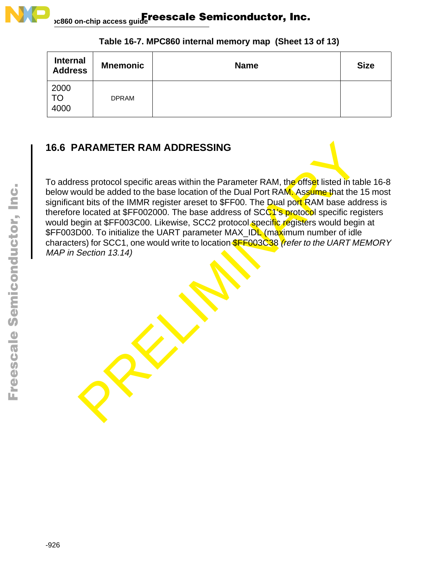

| <b>Internal</b><br><b>Address</b> | <b>Mnemonic</b> | <b>Name</b> | <b>Size</b> |
|-----------------------------------|-----------------|-------------|-------------|
| 2000<br>TO<br>4000                | <b>DPRAM</b>    |             |             |

#### **Table 16-7. MPC860 internal memory map (Sheet 13 of 13)**

### **16.6 PARAMETER RAM ADDRESSING**

ARAMETER RAM ADDRESSING<br>
Ses protocol specific areas within the Parameter RAM, the offset listed in tal<br>
ould be added to the base location of the Dual Port RAM, Assume that the<br>
In this of the IMMR register areset to \$FF0 To address protocol specific areas within the Parameter RAM, the offset listed in table 16-8 below would be added to the base location of the Dual Port RAM. Assume that the 15 most significant bits of the IMMR register areset to \$FF00. The Dual port RAM base address is therefore located at \$FF002000. The base address of SCC1's protocol specific registers would begin at \$FF003C00. Likewise, SCC2 protocol specific registers would begin at \$FF003D00. To initialize the UART parameter MAX\_IDL (maximum number of idle characters) for SCC1, one would write to location **\$FF003C38** (refer to the UART MEMORY MAP in Section 13.14)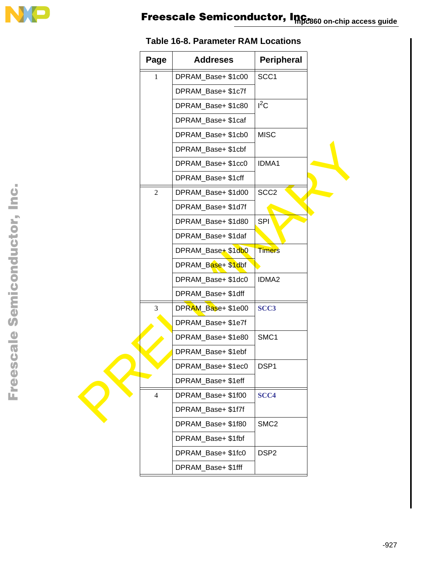

| Page           | <b>Addreses</b>    | <b>Peripheral</b> |  |
|----------------|--------------------|-------------------|--|
| $\mathbf{1}$   | DPRAM_Base+ \$1c00 | SCC1              |  |
|                | DPRAM_Base+ \$1c7f |                   |  |
|                | DPRAM_Base+ \$1c80 | $I^2C$            |  |
|                | DPRAM_Base+ \$1caf |                   |  |
|                | DPRAM_Base+ \$1cb0 | <b>MISC</b>       |  |
|                | DPRAM_Base+ \$1cbf |                   |  |
|                | DPRAM_Base+ \$1cc0 | IDMA1             |  |
|                | DPRAM_Base+ \$1cff |                   |  |
| $\overline{2}$ | DPRAM_Base+ \$1d00 | SCC <sub>2</sub>  |  |
|                | DPRAM_Base+ \$1d7f |                   |  |
|                | DPRAM_Base+ \$1d80 | SPI               |  |
|                | DPRAM_Base+ \$1daf |                   |  |
|                | DPRAM_Base+ \$1db0 | <b>Timers</b>     |  |
|                | DPRAM_Base+ \$1dbf |                   |  |
|                | DPRAM_Base+ \$1dc0 | IDMA2             |  |
|                | DPRAM_Base+ \$1dff |                   |  |
| 3              | DPRAM_Base+ \$1e00 | SCC <sub>3</sub>  |  |
|                | DPRAM_Base+ \$1e7f |                   |  |
|                | DPRAM_Base+ \$1e80 | SMC1              |  |
|                | DPRAM_Base+ \$1ebf |                   |  |
|                | DPRAM_Base+ \$1ec0 | DSP1              |  |
|                | DPRAM_Base+ \$1eff |                   |  |
| 4              | DPRAM_Base+ \$1f00 | SCC <sub>4</sub>  |  |
|                | DPRAM_Base+ \$1f7f |                   |  |
|                | DPRAM_Base+ \$1f80 | SMC <sub>2</sub>  |  |
|                | DPRAM_Base+ \$1fbf |                   |  |
|                | DPRAM_Base+ \$1fc0 | DSP <sub>2</sub>  |  |
|                | DPRAM_Base+ \$1fff |                   |  |

ŀ

#### **Table 16-8. Parameter RAM Locations**